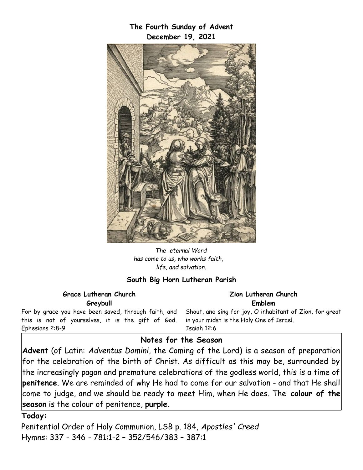**The Fourth Sunday of Advent December 19, 2021**



*The eternal Word has come to us, who works faith, life, and salvation.*

### **South Big Horn Lutheran Parish**

### **Grace Lutheran Church Greybull**

For by grace you have been saved, through faith, and this is not of yourselves, it is the gift of God. Ephesians 2:8-9

#### **Zion Lutheran Church Emblem**

Shout, and sing for joy, O inhabitant of Zion, for great in your midst is the Holy One of Israel. Isaiah 12:6

## **Notes for the Season**

**Advent** (of Latin: *Adventus Domini*, the Coming of the Lord) is a season of preparation for the celebration of the birth of Christ. As difficult as this may be, surrounded by the increasingly pagan and premature celebrations of the godless world, this is a time of **penitence**. We are reminded of why He had to come for our salvation - and that He shall come to judge, and we should be ready to meet Him, when He does. The **colour of the season** is the colour of penitence, **purple**.

### **Today:**

Penitential Order of Holy Communion, LSB p. 184, *Apostles' Creed* Hymns: 337 - 346 - 781:1-2 – 352/546/383 – 387:1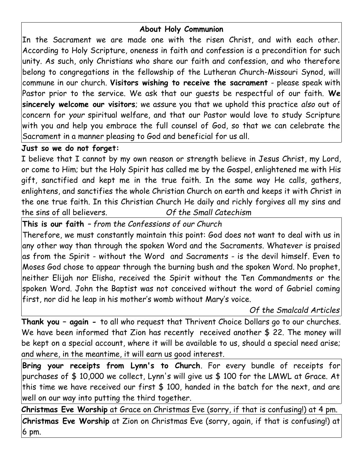## **About Holy Communion**

In the Sacrament we are made one with the risen Christ, and with each other. According to Holy Scripture, oneness in faith and confession is a precondition for such unity. As such, only Christians who share our faith and confession, and who therefore belong to congregations in the fellowship of the Lutheran Church-Missouri Synod, will commune in our church. **Visitors wishing to receive the sacrament** - please speak with Pastor prior to the service. We ask that our guests be respectful of our faith. **We sincerely welcome our visitors**; we assure you that we uphold this practice *also* out of concern for *your* spiritual welfare, and that our Pastor would love to study Scripture with you and help you embrace the full counsel of God, so that we can celebrate the Sacrament in a manner pleasing to God and beneficial for us all.

## **Just so we do not forget:**

I believe that I cannot by my own reason or strength believe in Jesus Christ, my Lord, or come to Him; but the Holy Spirit has called me by the Gospel, enlightened me with His gift, sanctified and kept me in the true faith. In the same way He calls, gathers, enlightens, and sanctifies the whole Christian Church on earth and keeps it with Christ in the one true faith. In this Christian Church He daily and richly forgives all my sins and the sins of all believers. *Of the Small Catechism*

**This is our faith** *– from the Confessions of our Church*

Therefore, we must constantly maintain this point: God does not want to deal with us in any other way than through the spoken Word and the Sacraments. Whatever is praised as from the Spirit - without the Word and Sacraments - is the devil himself. Even to Moses God chose to appear through the burning bush and the spoken Word. No prophet, neither Elijah nor Elisha, received the Spirit without the Ten Commandments or the spoken Word. John the Baptist was not conceived without the word of Gabriel coming first, nor did he leap in his mother's womb without Mary's voice.

# *Of the Smalcald Articles*

**Thank you – again -** to all who request that Thrivent Choice Dollars go to our churches. We have been informed that Zion has recently received another \$ 22. The money will be kept on a special account, where it will be available to us, should a special need arise; and where, in the meantime, it will earn us good interest.

**Bring your receipts from Lynn's to Church**. For every bundle of receipts for purchases of \$ 10,000 we collect, Lynn's will give us \$ 100 for the LMWL at Grace. At this time we have received our first \$ 100, handed in the batch for the next, and are well on our way into putting the third together.

**Christmas Eve Worship** at Grace on Christmas Eve (sorry, if that is confusing!) at 4 pm. **Christmas Eve Worship** at Zion on Christmas Eve (sorry, again, if that is confusing!) at 6 pm.